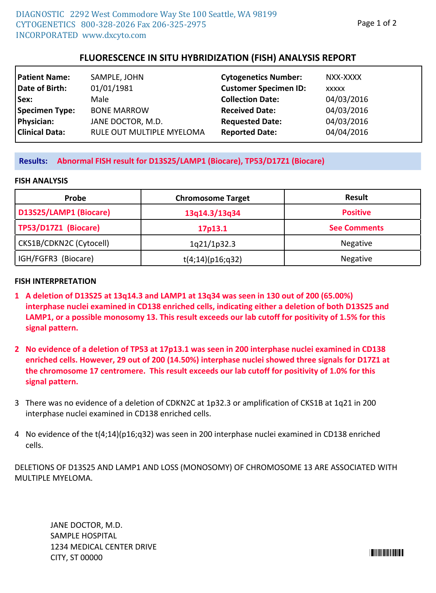# **FLUORESCENCE IN SITU HYBRIDIZATION (FISH) ANALYSIS REPORT**

| <b>Patient Name:</b>  | SAMPLE, JOHN              | <b>Cytogenetics Number:</b>  | NXX-XXXX   |
|-----------------------|---------------------------|------------------------------|------------|
| Date of Birth:        | 01/01/1981                | <b>Customer Specimen ID:</b> | XXXXX      |
| Sex:                  | Male                      | <b>Collection Date:</b>      | 04/03/2016 |
| Specimen Type:        | <b>BONE MARROW</b>        | <b>Received Date:</b>        | 04/03/2016 |
| Physician:            | JANE DOCTOR, M.D.         | <b>Requested Date:</b>       | 04/03/2016 |
| <b>Clinical Data:</b> | RULE OUT MULTIPLE MYELOMA | <b>Reported Date:</b>        | 04/04/2016 |

### **Results: Abnormal FISH result for D13S25/LAMP1 (Biocare), TP53/D17Z1 (Biocare)**

#### **FISH ANALYSIS**

| Probe                   | <b>Chromosome Target</b> | <b>Result</b>       |
|-------------------------|--------------------------|---------------------|
| D13S25/LAMP1 (Biocare)  | 13q14.3/13q34            | <b>Positive</b>     |
| TP53/D17Z1 (Biocare)    | 17p13.1                  | <b>See Comments</b> |
| CKS1B/CDKN2C (Cytocell) | 1q21/1p32.3              | Negative            |
| IGH/FGFR3 (Biocare)     | t(4;14)(p16;q32)         | <b>Negative</b>     |

### **FISH INTERPRETATION**

- **A deletion of D13S25 at 13q14.3 and LAMP1 at 13q34 was seen in 130 out of 200 (65.00%) 1 interphase nuclei examined in CD138 enriched cells, indicating either a deletion of both D13S25 and LAMP1, or a possible monosomy 13. This result exceeds our lab cutoff for positivity of 1.5% for this signal pattern.**
- **No evidence of a deletion of TP53 at 17p13.1 was seen in 200 interphase nuclei examined in CD138 2 enriched cells. However, 29 out of 200 (14.50%) interphase nuclei showed three signals for D17Z1 at the chromosome 17 centromere. This result exceeds our lab cutoff for positivity of 1.0% for this signal pattern.**
- There was no evidence of a deletion of CDKN2C at 1p32.3 or amplification of CKS1B at 1q21 in 200 3 interphase nuclei examined in CD138 enriched cells.
- 4 No evidence of the t(4;14)(p16;q32) was seen in 200 interphase nuclei examined in CD138 enriched cells.

DELETIONS OF D13S25 AND LAMP1 AND LOSS (MONOSOMY) OF CHROMOSOME 13 ARE ASSOCIATED WITH MULTIPLE MYELOMA.

JANE DOCTOR, M.D. SAMPLE HOSPITAL 1234 MEDICAL CENTER DRIVE CITY, ST 00000